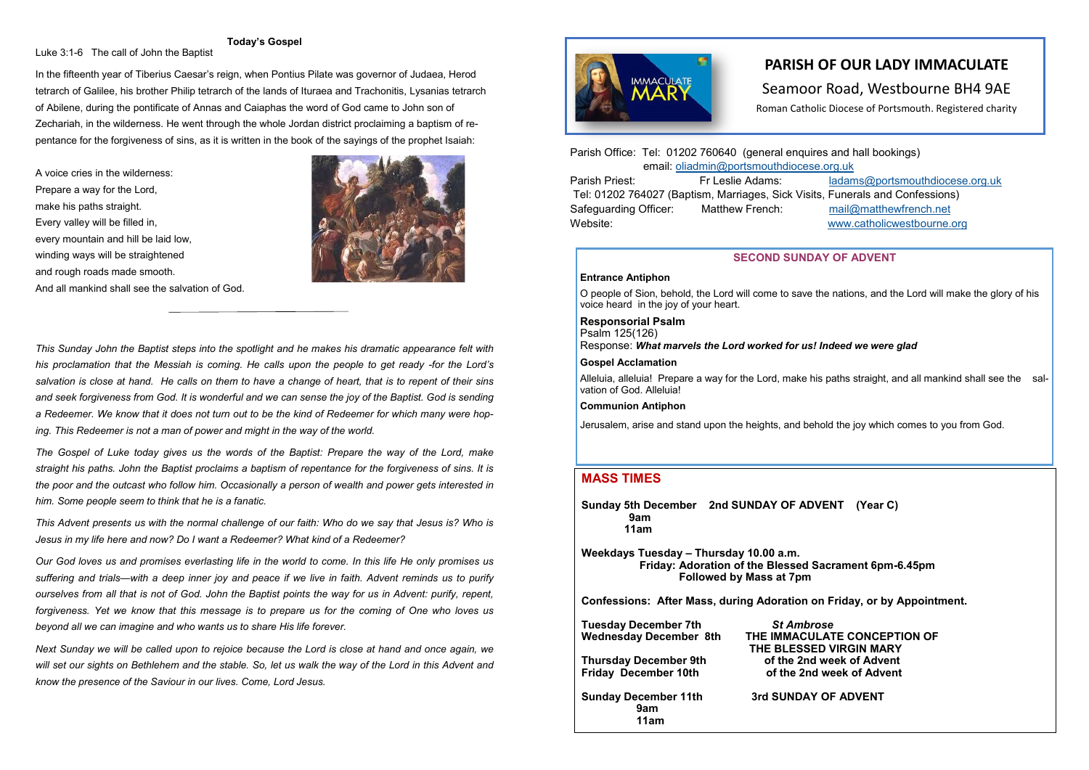# **PARISH OF OUR LADY IMMACULATE PARISH OF OUR LADY IMMACULATE**  Seamoor Road, Westbourne BH4 9AE

Parish Office: Tel: 01202 760640 (general enquires and hall bookings) email: [oliadmin@portsmouthdiocese.org.uk](about:blank) Parish Priest: Fr Leslie Adams: [ladams@portsmouthdiocese.org.uk](mailto:ladams@portsmouthdiocese.org.uk)

Tel: 01202 764027 (Baptism, Marriages, Sick Visits, Funerals and Confessions) Safeguarding Officer: Matthew French: [mail@matthewfrench.net](about:blank)  Website: [www.catholicwestbourne.org](about:blank)

# **MASS TIMES**

**Sunday 5th December 2nd SUNDAY OF ADVENT (Year C) 9am 11am**

**Weekdays Tuesday – Thursday 10.00 a.m. Friday: Adoration of the Blessed Sacrament 6pm-6.45pm Followed by Mass at 7pm**

**Confessions: After Mass, during Adoration on Friday, or by Appointment.**

| <b>Tuesday December 7th</b><br><b>Wednesday December 8th</b><br><b>Thursday December 9th</b><br><b>Friday December 10th</b> | <b>St Ambrose</b><br>THE IMMACULATE CONCEPTION OF<br>THE BLESSED VIRGIN MARY<br>of the 2nd week of Advent<br>of the 2nd week of Advent |
|-----------------------------------------------------------------------------------------------------------------------------|----------------------------------------------------------------------------------------------------------------------------------------|
|                                                                                                                             |                                                                                                                                        |

Searnoor Road, Westbourne BH4 9AE

### **SECOND SUNDAY OF ADVENT**

### **Entrance Antiphon**

O people of Sion, behold, the Lord will come to save the nations, and the Lord will make the glory of his voice heard in the joy of your heart.

**Responsorial Psalm** Psalm 125(126) Response: *What marvels the Lord worked for us! Indeed we were glad*

### **Gospel Acclamation**

Alleluia, alleluia! Prepare a way for the Lord, make his paths straight, and all mankind shall see the salvation of God. Alleluia!

### **Communion Antiphon**

Jerusalem, arise and stand upon the heights, and behold the joy which comes to you from God.

### **Today's Gospel**

Luke 3:1-6 The call of John the Baptist

In the fifteenth year of Tiberius Caesar's reign, when Pontius Pilate was governor of Judaea, Herod tetrarch of Galilee, his brother Philip tetrarch of the lands of Ituraea and Trachonitis, Lysanias tetrarch of Abilene, during the pontificate of Annas and Caiaphas the word of God came to John son of Zechariah, in the wilderness. He went through the whole Jordan district proclaiming a baptism of repentance for the forgiveness of sins, as it is written in the book of the sayings of the prophet Isaiah:

A voice cries in the wilderness: Prepare a way for the Lord, make his paths straight. Every valley will be filled in, every mountain and hill be laid low, winding ways will be straightened and rough roads made smooth. And all mankind shall see the salvation of God.



*This Sunday John the Baptist steps into the spotlight and he makes his dramatic appearance felt with his proclamation that the Messiah is coming. He calls upon the people to get ready -for the Lord's salvation is close at hand. He calls on them to have a change of heart, that is to repent of their sins and seek forgiveness from God. It is wonderful and we can sense the joy of the Baptist. God is sending a Redeemer. We know that it does not turn out to be the kind of Redeemer for which many were hop-*

*ing. This Redeemer is not a man of power and might in the way of the world.*

*The Gospel of Luke today gives us the words of the Baptist: Prepare the way of the Lord, make straight his paths. John the Baptist proclaims a baptism of repentance for the forgiveness of sins. It is the poor and the outcast who follow him. Occasionally a person of wealth and power gets interested in him. Some people seem to think that he is a fanatic.*

*This Advent presents us with the normal challenge of our faith: Who do we say that Jesus is? Who is Jesus in my life here and now? Do I want a Redeemer? What kind of a Redeemer?*

*Our God loves us and promises everlasting life in the world to come. In this life He only promises us suffering and trials—with a deep inner joy and peace if we live in faith. Advent reminds us to purify ourselves from all that is not of God. John the Baptist points the way for us in Advent: purify, repent, forgiveness. Yet we know that this message is to prepare us for the coming of One who loves us beyond all we can imagine and who wants us to share His life forever.*

*Next Sunday we will be called upon to rejoice because the Lord is close at hand and once again, we will set our sights on Bethlehem and the stable. So, let us walk the way of the Lord in this Advent and know the presence of the Saviour in our lives. Come, Lord Jesus.*